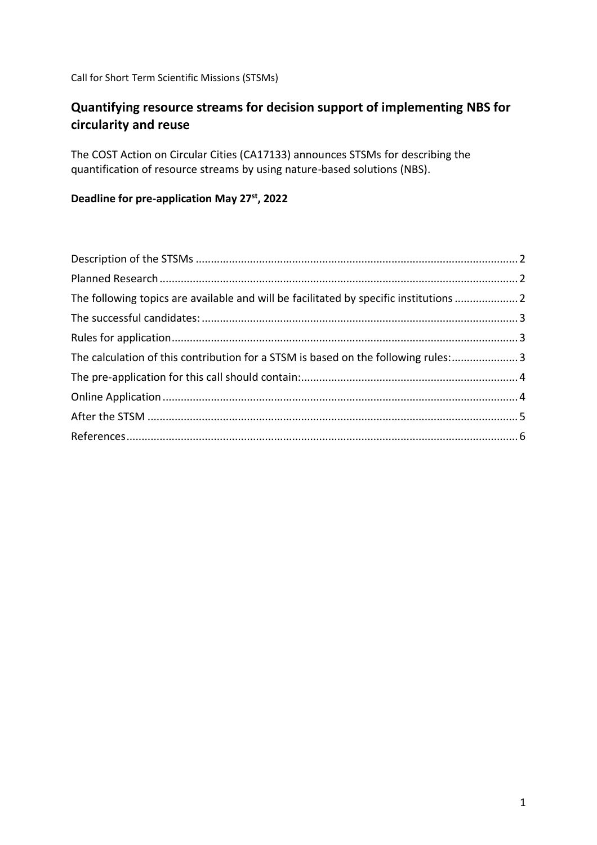Call for Short Term Scientific Missions (STSMs)

# **Quantifying resource streams for decision support of implementing NBS for circularity and reuse**

The COST Action on Circular Cities (CA17133) announces STSMs for describing the quantification of resource streams by using nature-based solutions (NBS).

# **Deadline for pre-application May 27st, 2022**

| The following topics are available and will be facilitated by specific institutions  2<br>The calculation of this contribution for a STSM is based on the following rules: 3 |  |
|------------------------------------------------------------------------------------------------------------------------------------------------------------------------------|--|
|                                                                                                                                                                              |  |
|                                                                                                                                                                              |  |
|                                                                                                                                                                              |  |
|                                                                                                                                                                              |  |
|                                                                                                                                                                              |  |
|                                                                                                                                                                              |  |
|                                                                                                                                                                              |  |
|                                                                                                                                                                              |  |
|                                                                                                                                                                              |  |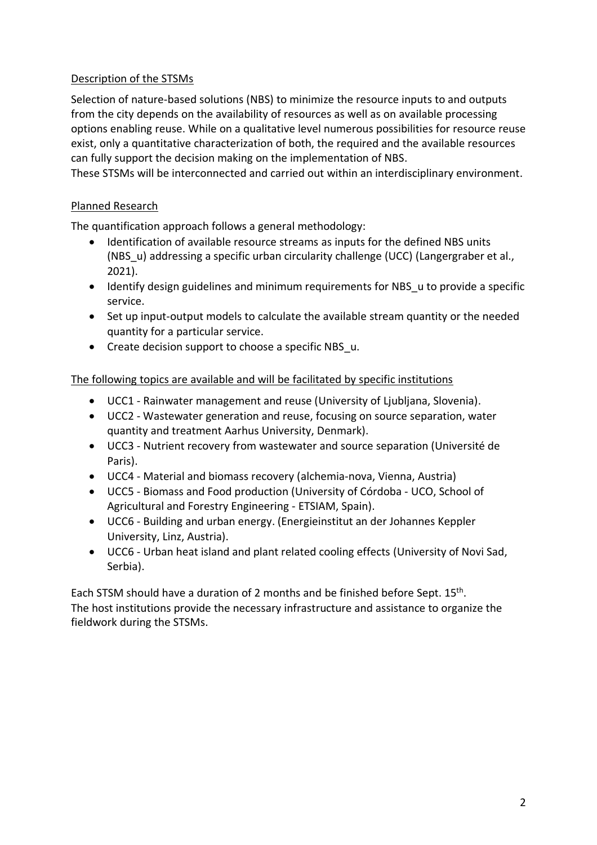## <span id="page-1-0"></span>Description of the STSMs

Selection of nature-based solutions (NBS) to minimize the resource inputs to and outputs from the city depends on the availability of resources as well as on available processing options enabling reuse. While on a qualitative level numerous possibilities for resource reuse exist, only a quantitative characterization of both, the required and the available resources can fully support the decision making on the implementation of NBS.

<span id="page-1-1"></span>These STSMs will be interconnected and carried out within an interdisciplinary environment.

# Planned Research

The quantification approach follows a general methodology:

- Identification of available resource streams as inputs for the defined NBS units (NBS\_u) addressing a specific urban circularity challenge (UCC) (Langergraber et al., 2021).
- Identify design guidelines and minimum requirements for NBS u to provide a specific service.
- Set up input-output models to calculate the available stream quantity or the needed quantity for a particular service.
- Create decision support to choose a specific NBS u.

#### <span id="page-1-2"></span>The following topics are available and will be facilitated by specific institutions

- UCC1 Rainwater management and reuse (University of Ljubljana, Slovenia).
- UCC2 Wastewater generation and reuse, focusing on source separation, water quantity and treatment Aarhus University, Denmark).
- UCC3 Nutrient recovery from wastewater and source separation (Université de Paris).
- UCC4 Material and biomass recovery (alchemia-nova, Vienna, Austria)
- UCC5 Biomass and Food production (University of Córdoba UCO, School of Agricultural and Forestry Engineering - ETSIAM, Spain).
- UCC6 Building and urban energy. (Energieinstitut an der Johannes Keppler University, Linz, Austria).
- UCC6 Urban heat island and plant related cooling effects (University of Novi Sad, Serbia).

Each STSM should have a duration of 2 months and be finished before Sept. 15<sup>th</sup>. The host institutions provide the necessary infrastructure and assistance to organize the fieldwork during the STSMs.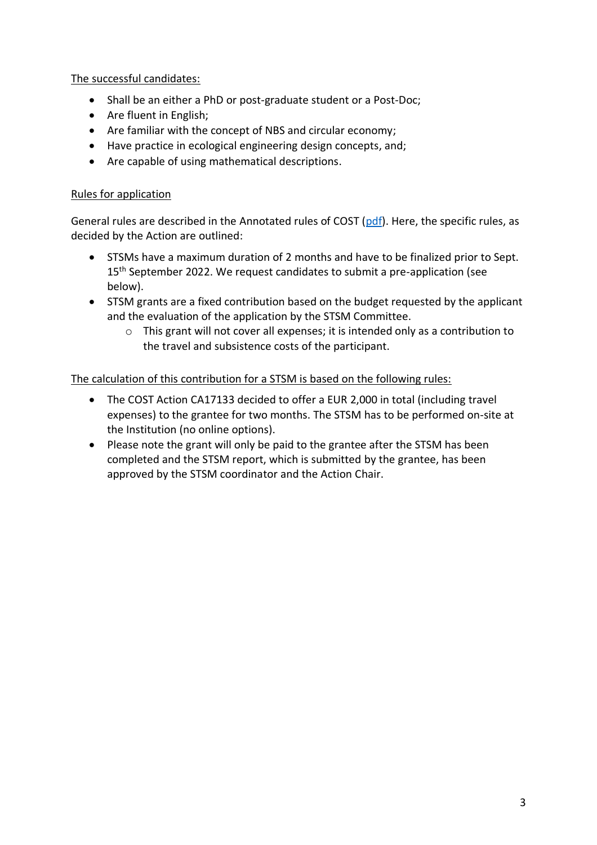<span id="page-2-0"></span>The successful candidates:

- Shall be an either a PhD or post-graduate student or a Post-Doc;
- Are fluent in English;
- Are familiar with the concept of NBS and circular economy;
- Have practice in ecological engineering design concepts, and;
- Are capable of using mathematical descriptions.

# <span id="page-2-1"></span>Rules for application

General rules are described in the Annotated rules of COST [\(pdf\)](https://www.cost.eu/uploads/2022/02/COST-094-21-Annotated-Rules-for-COST-Actions-Level-C-2022-02-15.pdf). Here, the specific rules, as decided by the Action are outlined:

- STSMs have a maximum duration of 2 months and have to be finalized prior to Sept. 15<sup>th</sup> September 2022. We request candidates to submit a pre-application (see below).
- STSM grants are a fixed contribution based on the budget requested by the applicant and the evaluation of the application by the STSM Committee.
	- $\circ$  This grant will not cover all expenses; it is intended only as a contribution to the travel and subsistence costs of the participant.

<span id="page-2-2"></span>The calculation of this contribution for a STSM is based on the following rules:

- The COST Action CA17133 decided to offer a EUR 2,000 in total (including travel expenses) to the grantee for two months. The STSM has to be performed on-site at the Institution (no online options).
- Please note the grant will only be paid to the grantee after the STSM has been completed and the STSM report, which is submitted by the grantee, has been approved by the STSM coordinator and the Action Chair.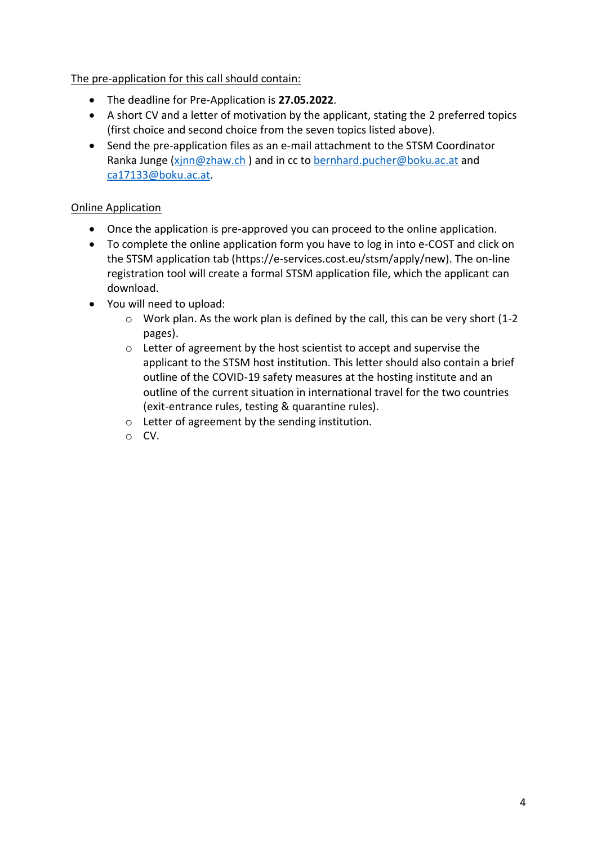<span id="page-3-0"></span>The pre-application for this call should contain:

- The deadline for Pre-Application is **27.05.2022**.
- A short CV and a letter of motivation by the applicant, stating the 2 preferred topics (first choice and second choice from the seven topics listed above).
- Send the pre-application files as an e-mail attachment to the STSM Coordinator Ranka Junge [\(xjnn@zhaw.ch](mailto:xjnn@zhaw.ch) ) and in cc to [bernhard.pucher@boku.ac.at](mailto:bernhard.pucher@boku.ac.at) and [ca17133@boku.ac.at.](mailto:ca17133@boku.ac.at)

# <span id="page-3-1"></span>Online Application

- Once the application is pre-approved you can proceed to the online application.
- To complete the online application form you have to log in into e-COST and click on the STSM application tab (https://e-services.cost.eu/stsm/apply/new). The on-line registration tool will create a formal STSM application file, which the applicant can download.
- You will need to upload:
	- o Work plan. As the work plan is defined by the call, this can be very short (1-2 pages).
	- o Letter of agreement by the host scientist to accept and supervise the applicant to the STSM host institution. This letter should also contain a brief outline of the COVID-19 safety measures at the hosting institute and an outline of the current situation in international travel for the two countries (exit-entrance rules, testing & quarantine rules).
	- o Letter of agreement by the sending institution.
	- o CV.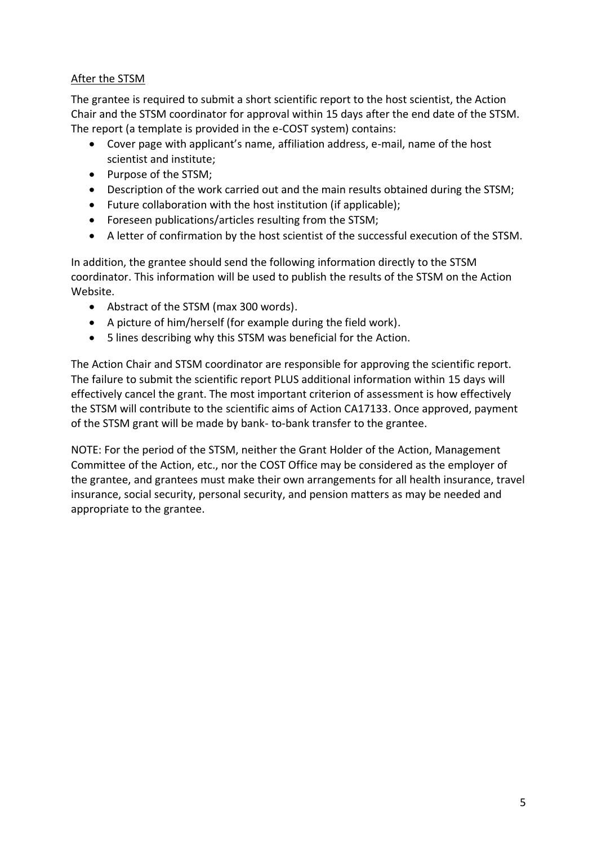## <span id="page-4-0"></span>After the STSM

The grantee is required to submit a short scientific report to the host scientist, the Action Chair and the STSM coordinator for approval within 15 days after the end date of the STSM. The report (a template is provided in the e-COST system) contains:

- Cover page with applicant's name, affiliation address, e-mail, name of the host scientist and institute;
- Purpose of the STSM;
- Description of the work carried out and the main results obtained during the STSM;
- Future collaboration with the host institution (if applicable);
- Foreseen publications/articles resulting from the STSM;
- A letter of confirmation by the host scientist of the successful execution of the STSM.

In addition, the grantee should send the following information directly to the STSM coordinator. This information will be used to publish the results of the STSM on the Action Website.

- Abstract of the STSM (max 300 words).
- A picture of him/herself (for example during the field work).
- 5 lines describing why this STSM was beneficial for the Action.

The Action Chair and STSM coordinator are responsible for approving the scientific report. The failure to submit the scientific report PLUS additional information within 15 days will effectively cancel the grant. The most important criterion of assessment is how effectively the STSM will contribute to the scientific aims of Action CA17133. Once approved, payment of the STSM grant will be made by bank- to-bank transfer to the grantee.

NOTE: For the period of the STSM, neither the Grant Holder of the Action, Management Committee of the Action, etc., nor the COST Office may be considered as the employer of the grantee, and grantees must make their own arrangements for all health insurance, travel insurance, social security, personal security, and pension matters as may be needed and appropriate to the grantee.